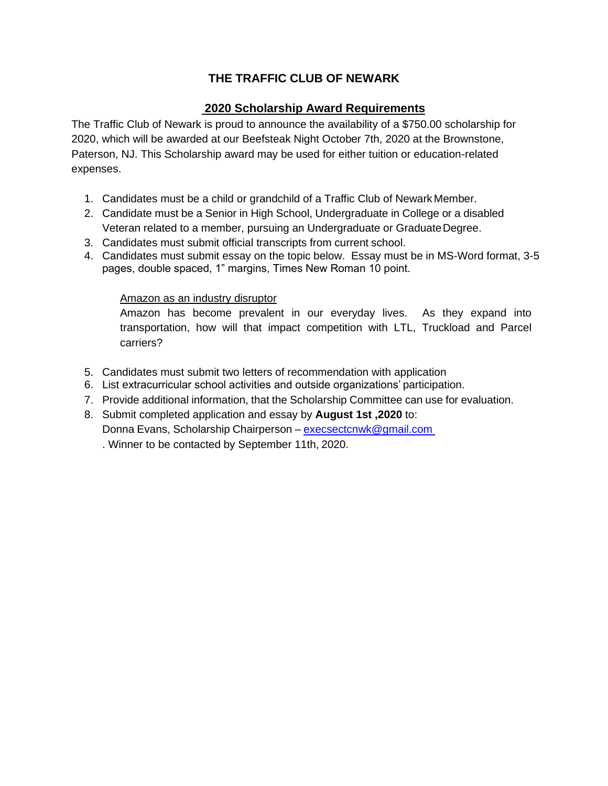## **THE TRAFFIC CLUB OF NEWARK**

## **2020 Scholarship Award Requirements**

The Traffic Club of Newark is proud to announce the availability of a \$750.00 scholarship for 2020, which will be awarded at our Beefsteak Night October 7th, 2020 at the Brownstone, Paterson, NJ. This Scholarship award may be used for either tuition or education-related expenses.

- 1. Candidates must be a child or grandchild of a Traffic Club of Newark Member.
- 2. Candidate must be a Senior in High School, Undergraduate in College or a disabled Veteran related to a member, pursuing an Undergraduate or GraduateDegree.
- 3. Candidates must submit official transcripts from current school.
- 4. Candidates must submit essay on the topic below. Essay must be in MS-Word format, 3-5 pages, double spaced, 1" margins, Times New Roman 10 point.

## Amazon as an industry disruptor

Amazon has become prevalent in our everyday lives. As they expand into transportation, how will that impact competition with LTL, Truckload and Parcel carriers?

- 5. Candidates must submit two letters of recommendation with application
- 6. List extracurricular school activities and outside organizations' participation.
- 7. Provide additional information, that the Scholarship Committee can use for evaluation.
- 8. Submit completed application and essay by **August 1st ,2020** to: Donna Evans, Scholarship Chairperson – [execsectcnwk@gmail.com](mailto:execsectcnwk@gmail.com) . Winner to be contacted by September 11th, 2020.